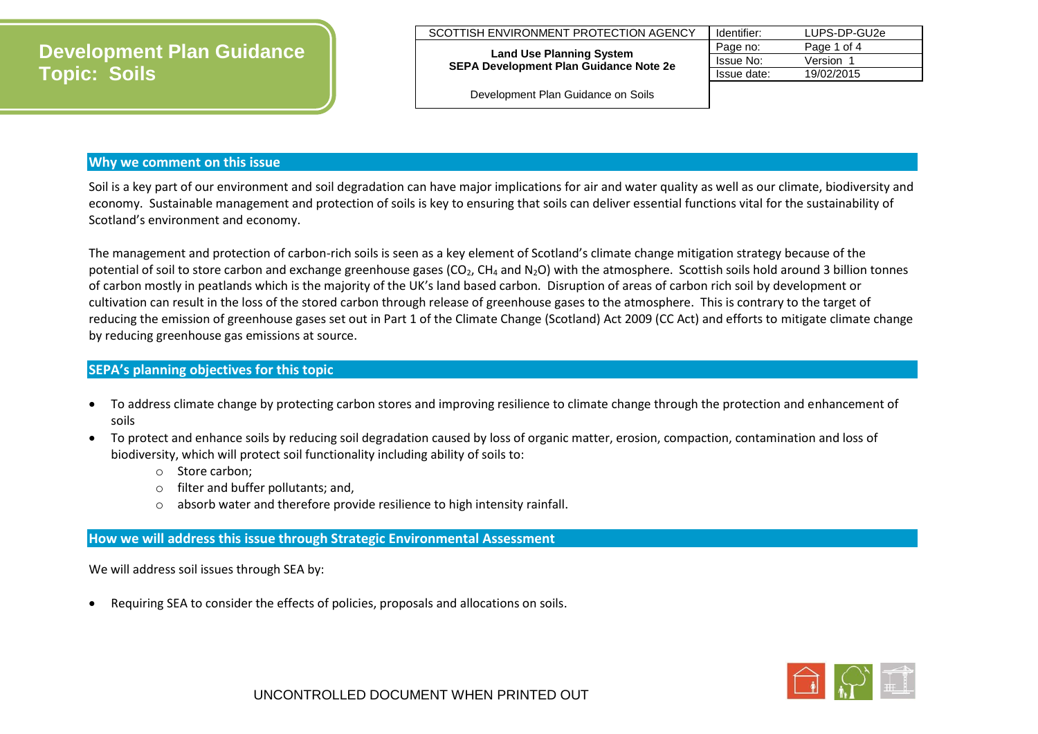## **Development Plan Guidance Topic: Soils**

#### SCOTTISH ENVIRONMENT PROTECTION AGENCY

**Land Use Planning System SEPA Development Plan Guidance Note 2e**

| Identifier: | LUPS-DP-GU2e |
|-------------|--------------|
| Page no:    | Page 1 of 4  |
| Issue No:   | Version 1    |
| Issue date: | 19/02/2015   |
|             |              |

Development Plan Guidance on Soils

#### **Why we comment on this issue**

Soil is a key part of our environment and soil degradation can have major implications for air and water quality as well as our climate, biodiversity and economy. Sustainable management and protection of soils is key to ensuring that soils can deliver essential functions vital for the sustainability of Scotland's environment and economy.

The management and protection of carbon-rich soils is seen as a key element of Scotland's climate change mitigation strategy because of the potential of soil to store carbon and exchange greenhouse gases ( $CO<sub>2</sub>$ ,  $CH<sub>4</sub>$  and N<sub>2</sub>O) with the atmosphere. Scottish soils hold around 3 billion tonnes of carbon mostly in peatlands which is the majority of the UK's land based carbon. Disruption of areas of carbon rich soil by development or cultivation can result in the loss of the stored carbon through release of greenhouse gases to the atmosphere. This is contrary to the target of reducing the emission of greenhouse gases set out in Part 1 of the Climate Change (Scotland) Act 2009 (CC Act) and efforts to mitigate climate change by reducing greenhouse gas emissions at source.

#### **SEPA's planning objectives for this topic**

- To address climate change by protecting carbon stores and improving resilience to climate change through the protection and enhancement of soils
- To protect and enhance soils by reducing soil degradation caused by loss of organic matter, erosion, compaction, contamination and loss of biodiversity, which will protect soil functionality including ability of soils to:
	- o Store carbon;
	- o filter and buffer pollutants; and,
	- o absorb water and therefore provide resilience to high intensity rainfall.

#### **How we will address this issue through Strategic Environmental Assessment**

We will address soil issues through SEA by:

Requiring SEA to consider the effects of policies, proposals and allocations on soils.

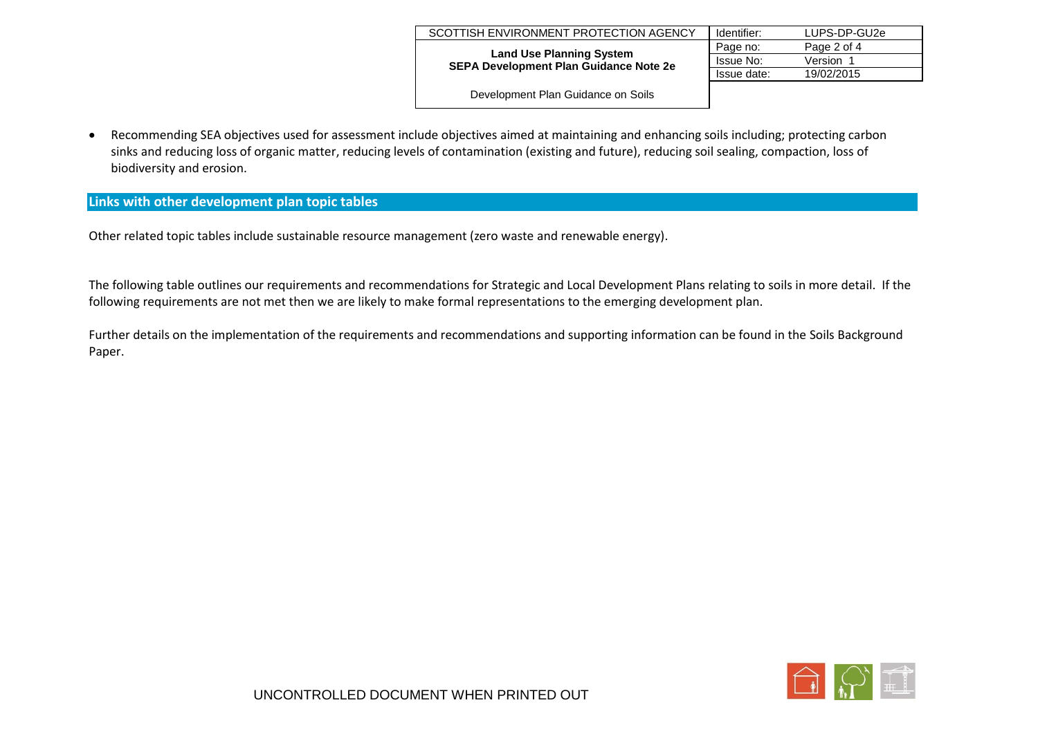| SCOTTISH ENVIRONMENT PROTECTION AGENCY                                           | Identifier:      | LUPS-DP-GU2e |
|----------------------------------------------------------------------------------|------------------|--------------|
|                                                                                  | Page no:         | Page 2 of 4  |
| <b>Land Use Planning System</b><br><b>SEPA Development Plan Guidance Note 2e</b> | <b>Issue No:</b> | Version 1    |
|                                                                                  | Issue date:      | 19/02/2015   |
| $\sim$ $\sim$ $\sim$ $\sim$ $\sim$ $\sim$                                        |                  |              |

Development Plan Guidance on Soils

 Recommending SEA objectives used for assessment include objectives aimed at maintaining and enhancing soils including; protecting carbon sinks and reducing loss of organic matter, reducing levels of contamination (existing and future), reducing soil sealing, compaction, loss of biodiversity and erosion.

### **Links with other development plan topic tables**

Other related topic tables include sustainable resource management (zero waste and renewable energy).

The following table outlines our requirements and recommendations for Strategic and Local Development Plans relating to soils in more detail. If the following requirements are not met then we are likely to make formal representations to the emerging development plan.

Further details on the implementation of the requirements and recommendations and supporting information can be found in the Soils Background Paper.

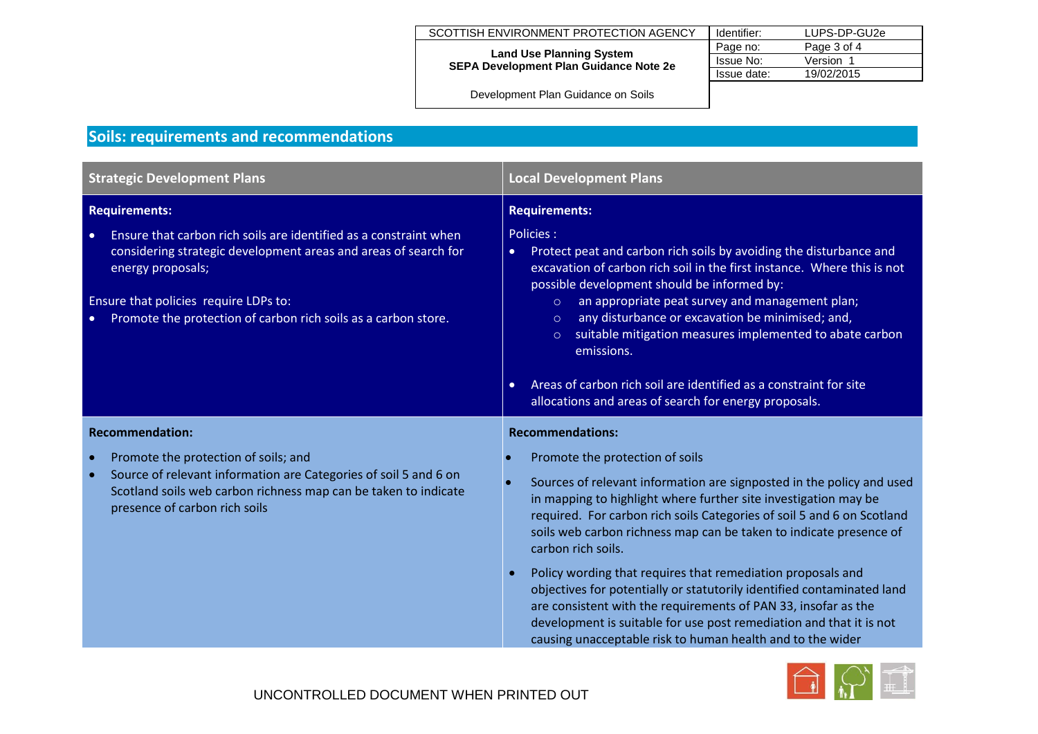| SCOTTISH ENVIRONMENT PROTECTION AGENCY                                           | Identifier: | LUPS-DP-GU2e |
|----------------------------------------------------------------------------------|-------------|--------------|
|                                                                                  | Page no:    | Page 3 of 4  |
| <b>Land Use Planning System</b><br><b>SEPA Development Plan Guidance Note 2e</b> | Issue No:   | Version 1    |
|                                                                                  | Issue date: | 19/02/2015   |

Development Plan Guidance on Soils

# **Soils: requirements and recommendations**

| <b>Strategic Development Plans</b>                                                                                                                                                                                                                                                | <b>Local Development Plans</b>                                                                                                                                                                                                                                                                                                                                                                                                                                                                                                                                                                                                                                                                    |  |
|-----------------------------------------------------------------------------------------------------------------------------------------------------------------------------------------------------------------------------------------------------------------------------------|---------------------------------------------------------------------------------------------------------------------------------------------------------------------------------------------------------------------------------------------------------------------------------------------------------------------------------------------------------------------------------------------------------------------------------------------------------------------------------------------------------------------------------------------------------------------------------------------------------------------------------------------------------------------------------------------------|--|
| <b>Requirements:</b>                                                                                                                                                                                                                                                              | <b>Requirements:</b>                                                                                                                                                                                                                                                                                                                                                                                                                                                                                                                                                                                                                                                                              |  |
| Ensure that carbon rich soils are identified as a constraint when<br>considering strategic development areas and areas of search for<br>energy proposals;<br>Ensure that policies require LDPs to:<br>Promote the protection of carbon rich soils as a carbon store.<br>$\bullet$ | Policies:<br>Protect peat and carbon rich soils by avoiding the disturbance and<br>$\bullet$<br>excavation of carbon rich soil in the first instance. Where this is not<br>possible development should be informed by:<br>an appropriate peat survey and management plan;<br>$\circ$<br>any disturbance or excavation be minimised; and,<br>$\circ$<br>suitable mitigation measures implemented to abate carbon<br>$\circ$<br>emissions.                                                                                                                                                                                                                                                          |  |
|                                                                                                                                                                                                                                                                                   | Areas of carbon rich soil are identified as a constraint for site<br>$\bullet$<br>allocations and areas of search for energy proposals.                                                                                                                                                                                                                                                                                                                                                                                                                                                                                                                                                           |  |
| <b>Recommendation:</b>                                                                                                                                                                                                                                                            | <b>Recommendations:</b>                                                                                                                                                                                                                                                                                                                                                                                                                                                                                                                                                                                                                                                                           |  |
| Promote the protection of soils; and<br>Source of relevant information are Categories of soil 5 and 6 on<br>Scotland soils web carbon richness map can be taken to indicate<br>presence of carbon rich soils                                                                      | Promote the protection of soils<br>Sources of relevant information are signposted in the policy and used<br>in mapping to highlight where further site investigation may be<br>required. For carbon rich soils Categories of soil 5 and 6 on Scotland<br>soils web carbon richness map can be taken to indicate presence of<br>carbon rich soils.<br>Policy wording that requires that remediation proposals and<br>objectives for potentially or statutorily identified contaminated land<br>are consistent with the requirements of PAN 33, insofar as the<br>development is suitable for use post remediation and that it is not<br>causing unacceptable risk to human health and to the wider |  |